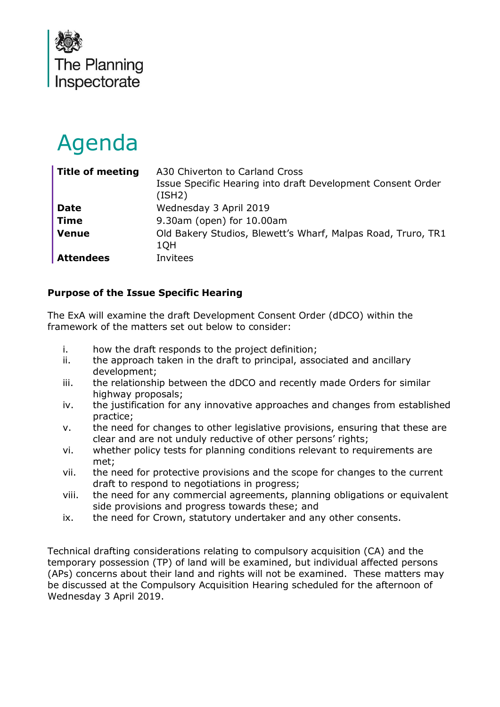

# Agenda

| <b>Title of meeting</b> | A30 Chiverton to Carland Cross<br>Issue Specific Hearing into draft Development Consent Order<br>(ISH2) |
|-------------------------|---------------------------------------------------------------------------------------------------------|
| <b>Date</b>             | Wednesday 3 April 2019                                                                                  |
| <b>Time</b>             | 9.30am (open) for 10.00am                                                                               |
| <b>Venue</b>            | Old Bakery Studios, Blewett's Wharf, Malpas Road, Truro, TR1<br>1QH                                     |
| <b>Attendees</b>        | Invitees                                                                                                |

# **Purpose of the Issue Specific Hearing**

The ExA will examine the draft Development Consent Order (dDCO) within the framework of the matters set out below to consider:

- i. how the draft responds to the project definition;
- ii. the approach taken in the draft to principal, associated and ancillary development;
- iii. the relationship between the dDCO and recently made Orders for similar highway proposals;
- iv. the justification for any innovative approaches and changes from established practice;
- v. the need for changes to other legislative provisions, ensuring that these are clear and are not unduly reductive of other persons' rights;
- vi. whether policy tests for planning conditions relevant to requirements are met;
- vii. the need for protective provisions and the scope for changes to the current draft to respond to negotiations in progress;
- viii. the need for any commercial agreements, planning obligations or equivalent side provisions and progress towards these; and
- ix. the need for Crown, statutory undertaker and any other consents.

Technical drafting considerations relating to compulsory acquisition (CA) and the temporary possession (TP) of land will be examined, but individual affected persons (APs) concerns about their land and rights will not be examined. These matters may be discussed at the Compulsory Acquisition Hearing scheduled for the afternoon of Wednesday 3 April 2019.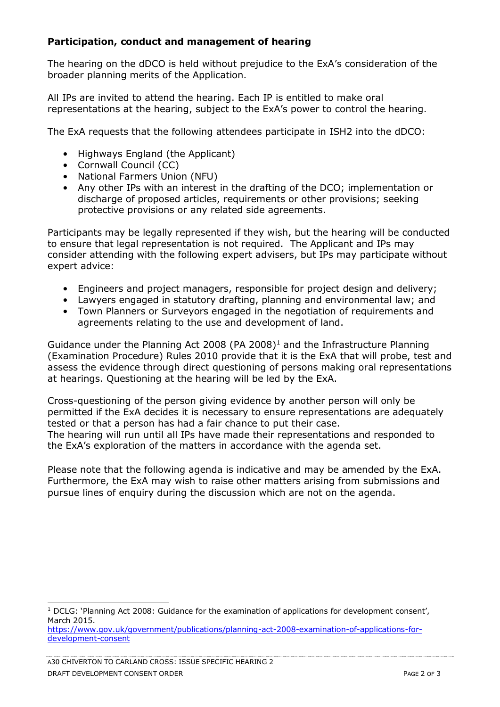### **Participation, conduct and management of hearing**

The hearing on the dDCO is held without prejudice to the ExA's consideration of the broader planning merits of the Application.

All IPs are invited to attend the hearing. Each IP is entitled to make oral representations at the hearing, subject to the ExA's power to control the hearing.

The ExA requests that the following attendees participate in ISH2 into the dDCO:

- Highways England (the Applicant)
- Cornwall Council (CC)
- National Farmers Union (NFU)
- Any other IPs with an interest in the drafting of the DCO; implementation or discharge of proposed articles, requirements or other provisions; seeking protective provisions or any related side agreements.

Participants may be legally represented if they wish, but the hearing will be conducted to ensure that legal representation is not required. The Applicant and IPs may consider attending with the following expert advisers, but IPs may participate without expert advice:

- Engineers and project managers, responsible for project design and delivery;
- Lawyers engaged in statutory drafting, planning and environmental law; and
- Town Planners or Surveyors engaged in the negotiation of requirements and agreements relating to the use and development of land.

Guidance under the Planning Act 2008 (PA 2008)<sup>1</sup> and the Infrastructure Planning (Examination Procedure) Rules 2010 provide that it is the ExA that will probe, test and assess the evidence through direct questioning of persons making oral representations at hearings. Questioning at the hearing will be led by the ExA.

Cross-questioning of the person giving evidence by another person will only be permitted if the ExA decides it is necessary to ensure representations are adequately tested or that a person has had a fair chance to put their case. The hearing will run until all IPs have made their representations and responded to the ExA's exploration of the matters in accordance with the agenda set.

Please note that the following agenda is indicative and may be amended by the ExA. Furthermore, the ExA may wish to raise other matters arising from submissions and pursue lines of enquiry during the discussion which are not on the agenda.

-

<sup>&</sup>lt;sup>1</sup> DCLG: 'Planning Act 2008: Guidance for the examination of applications for development consent', March 2015.

[https://www.gov.uk/government/publications/planning-act-2008-examination-of-applications-for](https://www.gov.uk/government/publications/planning-act-2008-examination-of-applications-for-development-consent)[development-consent](https://www.gov.uk/government/publications/planning-act-2008-examination-of-applications-for-development-consent)

A30 CHIVERTON TO CARLAND CROSS: ISSUE SPECIFIC HEARING 2 DRAFT DEVELOPMENT CONSENT ORDER **EXECUTE 2** OF 3